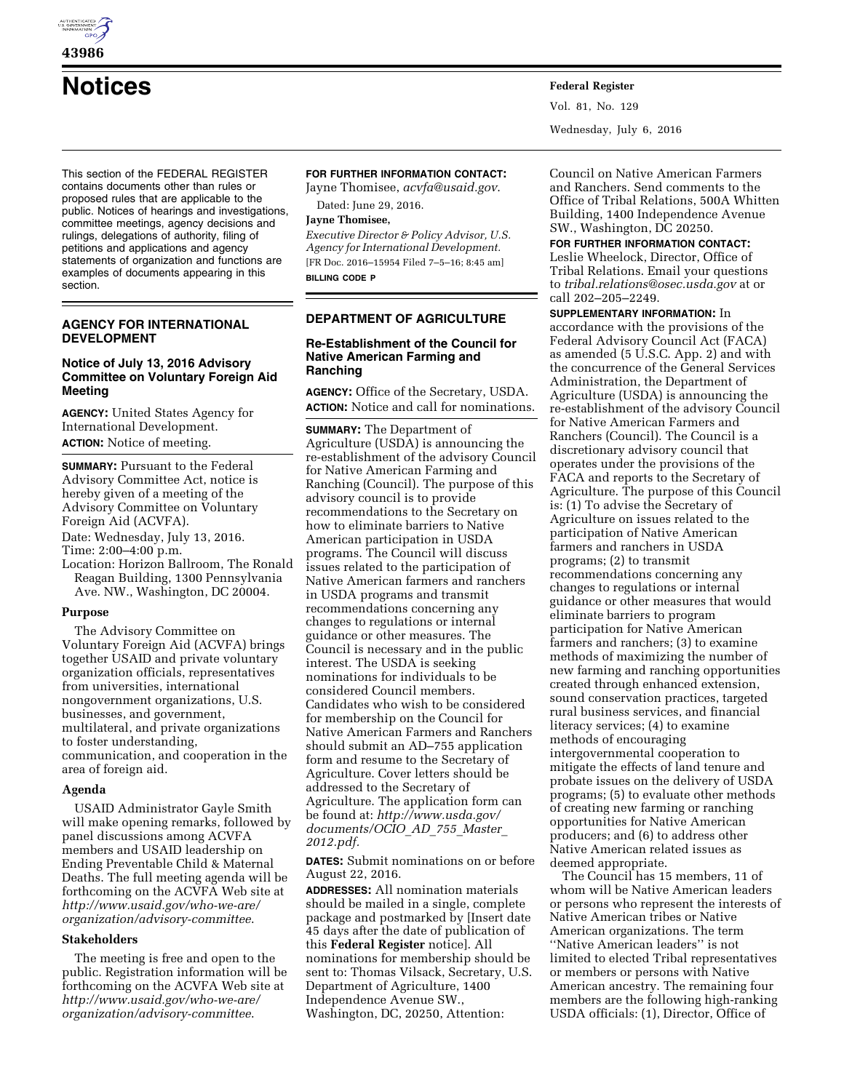

**43986** 

# **Notices Federal Register**

This section of the FEDERAL REGISTER contains documents other than rules or proposed rules that are applicable to the public. Notices of hearings and investigations, committee meetings, agency decisions and rulings, delegations of authority, filing of petitions and applications and agency statements of organization and functions are examples of documents appearing in this section.

## **AGENCY FOR INTERNATIONAL DEVELOPMENT**

## **Notice of July 13, 2016 Advisory Committee on Voluntary Foreign Aid Meeting**

**AGENCY:** United States Agency for International Development. **ACTION:** Notice of meeting.

**SUMMARY:** Pursuant to the Federal Advisory Committee Act, notice is hereby given of a meeting of the Advisory Committee on Voluntary Foreign Aid (ACVFA).

- Date: Wednesday, July 13, 2016.
- Time: 2:00–4:00 p.m.
- Location: Horizon Ballroom, The Ronald Reagan Building, 1300 Pennsylvania Ave. NW., Washington, DC 20004.

## **Purpose**

The Advisory Committee on Voluntary Foreign Aid (ACVFA) brings together USAID and private voluntary organization officials, representatives from universities, international nongovernment organizations, U.S. businesses, and government, multilateral, and private organizations to foster understanding, communication, and cooperation in the area of foreign aid.

## **Agenda**

USAID Administrator Gayle Smith will make opening remarks, followed by panel discussions among ACVFA members and USAID leadership on Ending Preventable Child & Maternal Deaths. The full meeting agenda will be forthcoming on the ACVFA Web site at *[http://www.usaid.gov/who-we-are/](http://www.usaid.gov/who-we-are/organization/advisory-committee) [organization/advisory-committee](http://www.usaid.gov/who-we-are/organization/advisory-committee)*.

## **Stakeholders**

The meeting is free and open to the public. Registration information will be forthcoming on the ACVFA Web site at *[http://www.usaid.gov/who-we-are/](http://www.usaid.gov/who-we-are/organization/advisory-committee) [organization/advisory-committee](http://www.usaid.gov/who-we-are/organization/advisory-committee)*.

## **FOR FURTHER INFORMATION CONTACT:**

Jayne Thomisee, *[acvfa@usaid.gov](mailto:acvfa@usaid.gov)*. Dated: June 29, 2016.

## **Jayne Thomisee,**

*Executive Director & Policy Advisor, U.S. Agency for International Development.*  [FR Doc. 2016–15954 Filed 7–5–16; 8:45 am] **BILLING CODE P** 

## **DEPARTMENT OF AGRICULTURE**

## **Re-Establishment of the Council for Native American Farming and Ranching**

**AGENCY:** Office of the Secretary, USDA. **ACTION:** Notice and call for nominations.

**SUMMARY:** The Department of Agriculture (USDA) is announcing the re-establishment of the advisory Council for Native American Farming and Ranching (Council). The purpose of this advisory council is to provide recommendations to the Secretary on how to eliminate barriers to Native American participation in USDA programs. The Council will discuss issues related to the participation of Native American farmers and ranchers in USDA programs and transmit recommendations concerning any changes to regulations or internal guidance or other measures. The Council is necessary and in the public interest. The USDA is seeking nominations for individuals to be considered Council members. Candidates who wish to be considered for membership on the Council for Native American Farmers and Ranchers should submit an AD–755 application form and resume to the Secretary of Agriculture. Cover letters should be addressed to the Secretary of Agriculture. The application form can be found at: *[http://www.usda.gov/](http://www.usda.gov/documents/OCIO_AD_755_Master_2012.pdf) [documents/OCIO](http://www.usda.gov/documents/OCIO_AD_755_Master_2012.pdf)*\_*AD*\_*755*\_*Master*\_ *[2012.pdf.](http://www.usda.gov/documents/OCIO_AD_755_Master_2012.pdf)* 

**DATES:** Submit nominations on or before August 22, 2016.

**ADDRESSES:** All nomination materials should be mailed in a single, complete package and postmarked by [Insert date 45 days after the date of publication of this **Federal Register** notice]. All nominations for membership should be sent to: Thomas Vilsack, Secretary, U.S. Department of Agriculture, 1400 Independence Avenue SW., Washington, DC, 20250, Attention:

Council on Native American Farmers and Ranchers. Send comments to the Office of Tribal Relations, 500A Whitten Building, 1400 Independence Avenue SW., Washington, DC 20250.

## **FOR FURTHER INFORMATION CONTACT:**

Vol. 81, No. 129

Wednesday, July 6, 2016

Leslie Wheelock, Director, Office of Tribal Relations. Email your questions to *[tribal.relations@osec.usda.gov](mailto:tribal.relations@osec.usda.gov)* at or call 202–205–2249.

## **SUPPLEMENTARY INFORMATION:** In

accordance with the provisions of the Federal Advisory Council Act (FACA) as amended (5 U.S.C. App. 2) and with the concurrence of the General Services Administration, the Department of Agriculture (USDA) is announcing the re-establishment of the advisory Council for Native American Farmers and Ranchers (Council). The Council is a discretionary advisory council that operates under the provisions of the FACA and reports to the Secretary of Agriculture. The purpose of this Council is: (1) To advise the Secretary of Agriculture on issues related to the participation of Native American farmers and ranchers in USDA programs; (2) to transmit recommendations concerning any changes to regulations or internal guidance or other measures that would eliminate barriers to program participation for Native American farmers and ranchers; (3) to examine methods of maximizing the number of new farming and ranching opportunities created through enhanced extension, sound conservation practices, targeted rural business services, and financial literacy services; (4) to examine methods of encouraging intergovernmental cooperation to mitigate the effects of land tenure and probate issues on the delivery of USDA programs; (5) to evaluate other methods of creating new farming or ranching opportunities for Native American producers; and (6) to address other Native American related issues as deemed appropriate.

The Council has 15 members, 11 of whom will be Native American leaders or persons who represent the interests of Native American tribes or Native American organizations. The term ''Native American leaders'' is not limited to elected Tribal representatives or members or persons with Native American ancestry. The remaining four members are the following high-ranking USDA officials: (1), Director, Office of